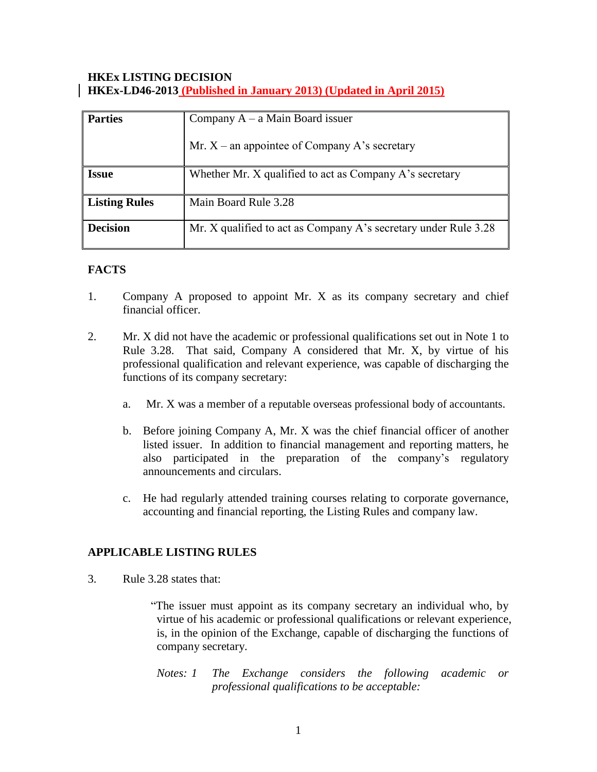### **HKEx LISTING DECISION HKEx-LD46-2013 (Published in January 2013) (Updated in April 2015)**

| <b>Parties</b>       | Company $A - a$ Main Board issuer                               |
|----------------------|-----------------------------------------------------------------|
|                      | Mr. $X$ – an appointee of Company A's secretary                 |
| <b>Issue</b>         | Whether Mr. X qualified to act as Company A's secretary         |
| <b>Listing Rules</b> | Main Board Rule 3.28                                            |
| <b>Decision</b>      | Mr. X qualified to act as Company A's secretary under Rule 3.28 |

# **FACTS**

- 1. Company A proposed to appoint Mr. X as its company secretary and chief financial officer.
- 2. Mr. X did not have the academic or professional qualifications set out in Note 1 to Rule 3.28. That said, Company A considered that Mr. X, by virtue of his professional qualification and relevant experience, was capable of discharging the functions of its company secretary:
	- a. Mr. X was a member of a reputable overseas professional body of accountants.
	- b. Before joining Company A, Mr. X was the chief financial officer of another listed issuer. In addition to financial management and reporting matters, he also participated in the preparation of the company's regulatory announcements and circulars.
	- c. He had regularly attended training courses relating to corporate governance, accounting and financial reporting, the Listing Rules and company law.

# **APPLICABLE LISTING RULES**

3. Rule 3.28 states that:

"The issuer must appoint as its company secretary an individual who, by virtue of his academic or professional qualifications or relevant experience, is, in the opinion of the Exchange, capable of discharging the functions of company secretary.

*Notes: 1 The Exchange considers the following academic or professional qualifications to be acceptable:*